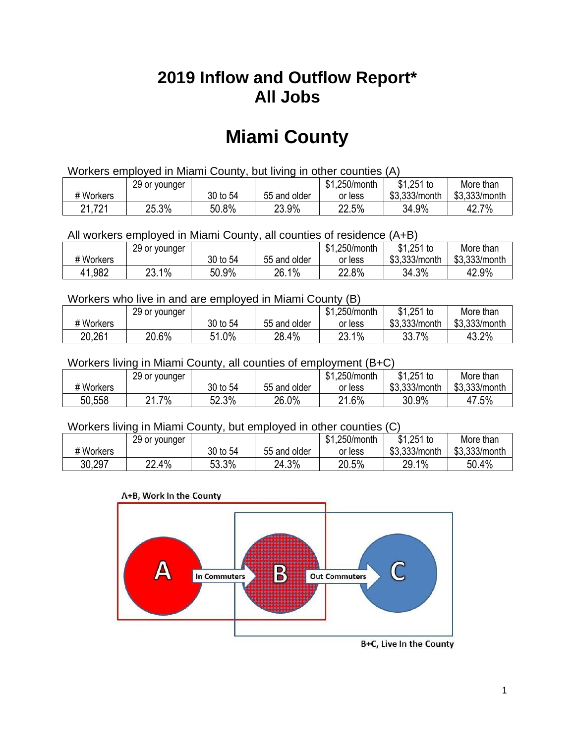## **2019 Inflow and Outflow Report\* All Jobs**

# **Miami County**

| Workers employed in Miami County, but living in other counties (A) |                                                            |          |              |         |               |               |  |  |  |
|--------------------------------------------------------------------|------------------------------------------------------------|----------|--------------|---------|---------------|---------------|--|--|--|
|                                                                    | $$1,251$ to<br>\$1,250/month<br>29 or younger<br>More than |          |              |         |               |               |  |  |  |
| # Workers                                                          |                                                            | 30 to 54 | 55 and older | or less | \$3,333/month | \$3,333/month |  |  |  |
| 21,721                                                             | 25.3%                                                      | 50.8%    | 23.9%        | 22.5%   | 34.9%         | 42.7%         |  |  |  |

All workers employed in Miami County, all counties of residence (A+B)

|           | 29 or younger |          |              | \$1,250/month | $$1,251$ to   | More than     |
|-----------|---------------|----------|--------------|---------------|---------------|---------------|
| # Workers |               | 30 to 54 | 55 and older | or less       | \$3,333/month | \$3,333/month |
| 41,982    | 23.1%         | 50.9%    | 26.1%        | 22.8%         | 34.3%         | 42.9%         |

#### Workers who live in and are employed in Miami County (B)

|           | 29 or younger |            |              | \$1,250/month | $$1,251$ to   | More than     |
|-----------|---------------|------------|--------------|---------------|---------------|---------------|
| # Workers |               | 30 to 54   | 55 and older | or less       | \$3,333/month | \$3,333/month |
| 20.261    | 20.6%         | 1.0%<br>51 | 28.4%        | 23.1%         | 7%<br>33.7    | 43.2%         |

#### Workers living in Miami County, all counties of employment (B+C)

|           | 29 or younger |          |              | \$1,250/month | \$1,251 to    | More than     |
|-----------|---------------|----------|--------------|---------------|---------------|---------------|
| # Workers |               | 30 to 54 | 55 and older | or less       | \$3,333/month | \$3,333/month |
| 50,558    | 7%،<br>n.     | 52.3%    | 26.0%        | 21.6%         | 30.9%         | 47.5%         |

#### Workers living in Miami County, but employed in other counties (C)

|           | 29 or younger |          |              | \$1,250/month | $$1,251$ to   | More than     |
|-----------|---------------|----------|--------------|---------------|---------------|---------------|
| # Workers |               | 30 to 54 | 55 and older | or less       | \$3,333/month | \$3,333/month |
| 30,297    | 22.4%<br>nn   | 53.3%    | 24.3%        | 20.5%         | 29.1%         | 50.4%         |





B+C, Live In the County